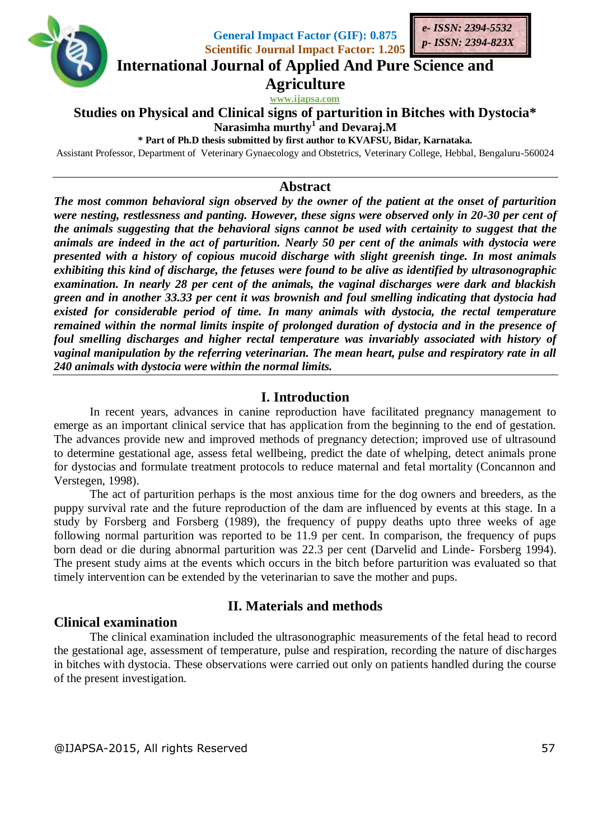

**General Impact Factor (GIF): 0.875 Scientific Journal Impact Factor: 1.205**



**International Journal of Applied And Pure Science and**

**Agriculture**

**www.ijapsa.com** 

**Studies on Physical and Clinical signs of parturition in Bitches with Dystocia\* Narasimha murthy<sup>1</sup> and Devaraj.M**

**\* Part of Ph.D thesis submitted by first author to KVAFSU, Bidar, Karnataka.**

Assistant Professor, Department of Veterinary Gynaecology and Obstetrics, Veterinary College, Hebbal, Bengaluru-560024

#### **Abstract**

*The most common behavioral sign observed by the owner of the patient at the onset of parturition were nesting, restlessness and panting. However, these signs were observed only in 20-30 per cent of the animals suggesting that the behavioral signs cannot be used with certainity to suggest that the animals are indeed in the act of parturition. Nearly 50 per cent of the animals with dystocia were presented with a history of copious mucoid discharge with slight greenish tinge. In most animals exhibiting this kind of discharge, the fetuses were found to be alive as identified by ultrasonographic examination. In nearly 28 per cent of the animals, the vaginal discharges were dark and blackish green and in another 33.33 per cent it was brownish and foul smelling indicating that dystocia had existed for considerable period of time. In many animals with dystocia, the rectal temperature remained within the normal limits inspite of prolonged duration of dystocia and in the presence of foul smelling discharges and higher rectal temperature was invariably associated with history of vaginal manipulation by the referring veterinarian. The mean heart, pulse and respiratory rate in all 240 animals with dystocia were within the normal limits.* 

# **I. Introduction**

In recent years, advances in canine reproduction have facilitated pregnancy management to emerge as an important clinical service that has application from the beginning to the end of gestation. The advances provide new and improved methods of pregnancy detection; improved use of ultrasound to determine gestational age, assess fetal wellbeing, predict the date of whelping, detect animals prone for dystocias and formulate treatment protocols to reduce maternal and fetal mortality (Concannon and Verstegen, 1998).

The act of parturition perhaps is the most anxious time for the dog owners and breeders, as the puppy survival rate and the future reproduction of the dam are influenced by events at this stage. In a study by Forsberg and Forsberg (1989), the frequency of puppy deaths upto three weeks of age following normal parturition was reported to be 11.9 per cent. In comparison, the frequency of pups born dead or die during abnormal parturition was 22.3 per cent (Darvelid and Linde- Forsberg 1994). The present study aims at the events which occurs in the bitch before parturition was evaluated so that timely intervention can be extended by the veterinarian to save the mother and pups.

#### **Clinical examination**

# **II. Materials and methods**

The clinical examination included the ultrasonographic measurements of the fetal head to record the gestational age, assessment of temperature, pulse and respiration, recording the nature of discharges in bitches with dystocia. These observations were carried out only on patients handled during the course of the present investigation.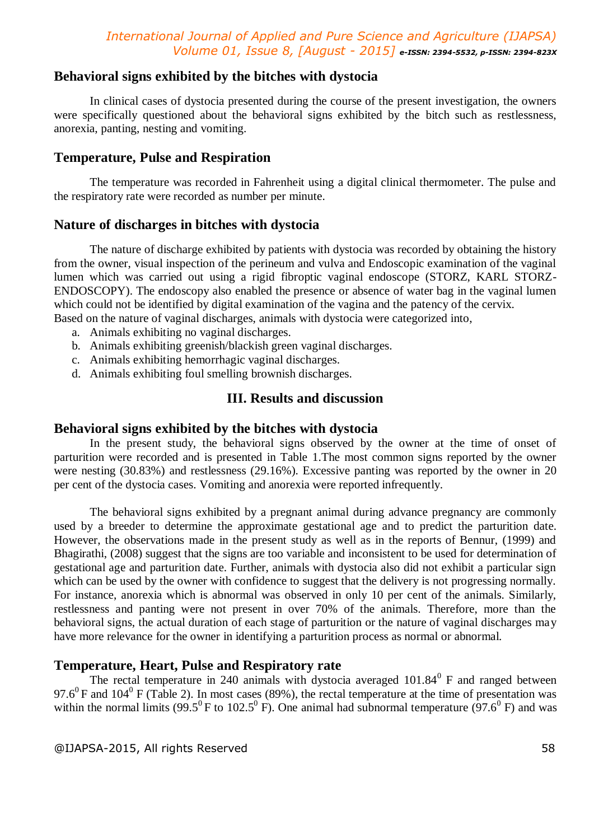### **Behavioral signs exhibited by the bitches with dystocia**

In clinical cases of dystocia presented during the course of the present investigation, the owners were specifically questioned about the behavioral signs exhibited by the bitch such as restlessness, anorexia, panting, nesting and vomiting.

### **Temperature, Pulse and Respiration**

The temperature was recorded in Fahrenheit using a digital clinical thermometer. The pulse and the respiratory rate were recorded as number per minute.

### **Nature of discharges in bitches with dystocia**

The nature of discharge exhibited by patients with dystocia was recorded by obtaining the history from the owner, visual inspection of the perineum and vulva and Endoscopic examination of the vaginal lumen which was carried out using a rigid fibroptic vaginal endoscope (STORZ, KARL STORZ-ENDOSCOPY). The endoscopy also enabled the presence or absence of water bag in the vaginal lumen which could not be identified by digital examination of the vagina and the patency of the cervix. Based on the nature of vaginal discharges, animals with dystocia were categorized into,

- a. Animals exhibiting no vaginal discharges.
- b. Animals exhibiting greenish/blackish green vaginal discharges.
- c. Animals exhibiting hemorrhagic vaginal discharges.
- d. Animals exhibiting foul smelling brownish discharges.

# **III. Results and discussion**

#### **Behavioral signs exhibited by the bitches with dystocia**

In the present study, the behavioral signs observed by the owner at the time of onset of parturition were recorded and is presented in Table 1.The most common signs reported by the owner were nesting (30.83%) and restlessness (29.16%). Excessive panting was reported by the owner in 20 per cent of the dystocia cases. Vomiting and anorexia were reported infrequently.

The behavioral signs exhibited by a pregnant animal during advance pregnancy are commonly used by a breeder to determine the approximate gestational age and to predict the parturition date. However, the observations made in the present study as well as in the reports of Bennur, (1999) and Bhagirathi, (2008) suggest that the signs are too variable and inconsistent to be used for determination of gestational age and parturition date. Further, animals with dystocia also did not exhibit a particular sign which can be used by the owner with confidence to suggest that the delivery is not progressing normally. For instance, anorexia which is abnormal was observed in only 10 per cent of the animals. Similarly, restlessness and panting were not present in over 70% of the animals. Therefore, more than the behavioral signs, the actual duration of each stage of parturition or the nature of vaginal discharges may have more relevance for the owner in identifying a parturition process as normal or abnormal.

### **Temperature, Heart, Pulse and Respiratory rate**

The rectal temperature in 240 animals with dystocia averaged  $101.84<sup>0</sup>$  F and ranged between 97.6<sup>0</sup> F and 104<sup>0</sup> F (Table 2). In most cases (89%), the rectal temperature at the time of presentation was within the normal limits (99.5<sup>0</sup> F to 102.5<sup>0</sup> F). One animal had subnormal temperature (97.6<sup>0</sup> F) and was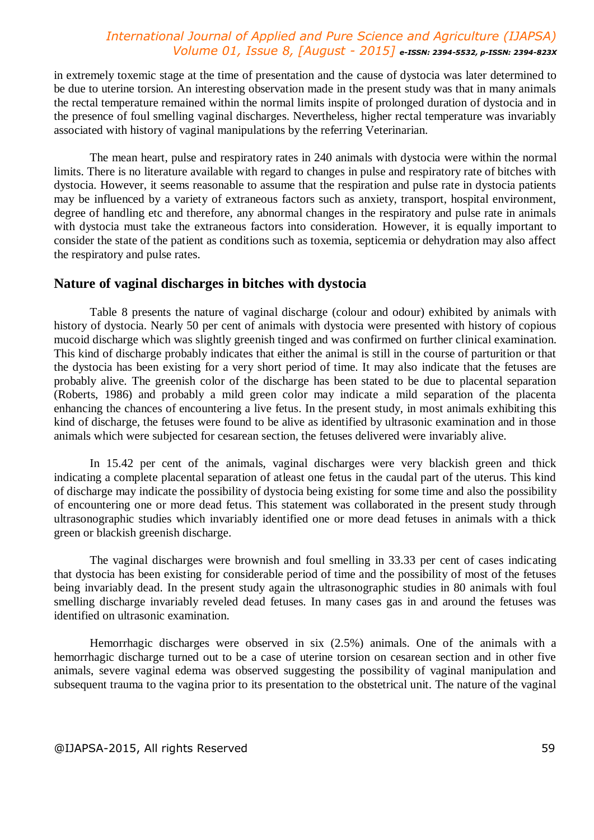in extremely toxemic stage at the time of presentation and the cause of dystocia was later determined to be due to uterine torsion. An interesting observation made in the present study was that in many animals the rectal temperature remained within the normal limits inspite of prolonged duration of dystocia and in the presence of foul smelling vaginal discharges. Nevertheless, higher rectal temperature was invariably associated with history of vaginal manipulations by the referring Veterinarian.

The mean heart, pulse and respiratory rates in 240 animals with dystocia were within the normal limits. There is no literature available with regard to changes in pulse and respiratory rate of bitches with dystocia. However, it seems reasonable to assume that the respiration and pulse rate in dystocia patients may be influenced by a variety of extraneous factors such as anxiety, transport, hospital environment, degree of handling etc and therefore, any abnormal changes in the respiratory and pulse rate in animals with dystocia must take the extraneous factors into consideration. However, it is equally important to consider the state of the patient as conditions such as toxemia, septicemia or dehydration may also affect the respiratory and pulse rates.

### **Nature of vaginal discharges in bitches with dystocia**

Table 8 presents the nature of vaginal discharge (colour and odour) exhibited by animals with history of dystocia. Nearly 50 per cent of animals with dystocia were presented with history of copious mucoid discharge which was slightly greenish tinged and was confirmed on further clinical examination. This kind of discharge probably indicates that either the animal is still in the course of parturition or that the dystocia has been existing for a very short period of time. It may also indicate that the fetuses are probably alive. The greenish color of the discharge has been stated to be due to placental separation (Roberts, 1986) and probably a mild green color may indicate a mild separation of the placenta enhancing the chances of encountering a live fetus. In the present study, in most animals exhibiting this kind of discharge, the fetuses were found to be alive as identified by ultrasonic examination and in those animals which were subjected for cesarean section, the fetuses delivered were invariably alive.

In 15.42 per cent of the animals, vaginal discharges were very blackish green and thick indicating a complete placental separation of atleast one fetus in the caudal part of the uterus. This kind of discharge may indicate the possibility of dystocia being existing for some time and also the possibility of encountering one or more dead fetus. This statement was collaborated in the present study through ultrasonographic studies which invariably identified one or more dead fetuses in animals with a thick green or blackish greenish discharge.

The vaginal discharges were brownish and foul smelling in 33.33 per cent of cases indicating that dystocia has been existing for considerable period of time and the possibility of most of the fetuses being invariably dead. In the present study again the ultrasonographic studies in 80 animals with foul smelling discharge invariably reveled dead fetuses. In many cases gas in and around the fetuses was identified on ultrasonic examination.

Hemorrhagic discharges were observed in six (2.5%) animals. One of the animals with a hemorrhagic discharge turned out to be a case of uterine torsion on cesarean section and in other five animals, severe vaginal edema was observed suggesting the possibility of vaginal manipulation and subsequent trauma to the vagina prior to its presentation to the obstetrical unit. The nature of the vaginal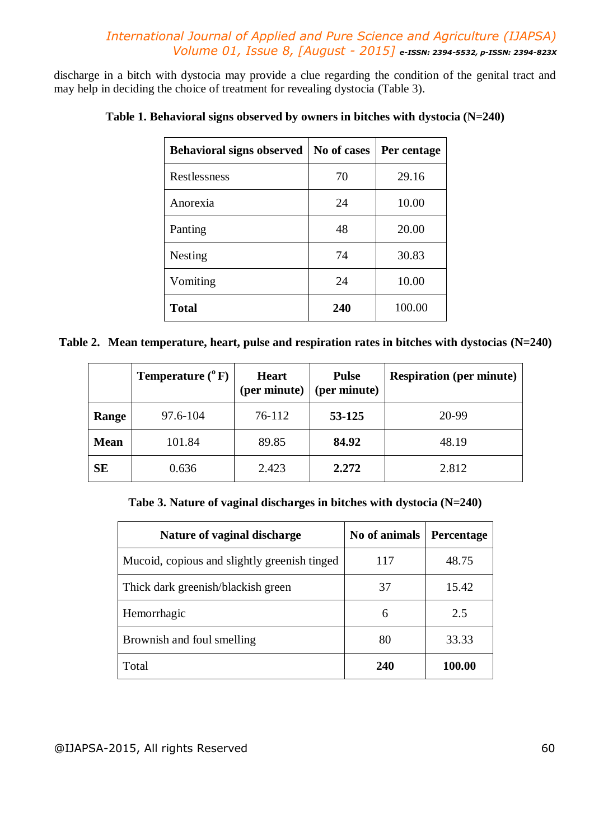discharge in a bitch with dystocia may provide a clue regarding the condition of the genital tract and may help in deciding the choice of treatment for revealing dystocia (Table 3).

| <b>Behavioral signs observed</b> | No of cases | Per centage |
|----------------------------------|-------------|-------------|
| Restlessness                     | 70          | 29.16       |
| Anorexia                         | 24          | 10.00       |
| Panting                          | 48          | 20.00       |
| Nesting                          | 74          | 30.83       |
| Vomiting                         | 24          | 10.00       |
| <b>Total</b>                     | 240         | 100.00      |

# **Table 1. Behavioral signs observed by owners in bitches with dystocia (N=240)**

**Table 2. Mean temperature, heart, pulse and respiration rates in bitches with dystocias (N=240)**

|             | <b>Temperature</b> $(^{0}F)$ | <b>Heart</b><br>(per minute) | <b>Pulse</b><br>(per minute) | <b>Respiration (per minute)</b> |
|-------------|------------------------------|------------------------------|------------------------------|---------------------------------|
| Range       | 97.6-104                     | 76-112                       | 53-125                       | 20-99                           |
| <b>Mean</b> | 101.84                       | 89.85                        | 84.92                        | 48.19                           |
| <b>SE</b>   | 0.636                        | 2.423                        | 2.272                        | 2.812                           |

**Tabe 3. Nature of vaginal discharges in bitches with dystocia (N=240)**

| Nature of vaginal discharge                  | No of animals | <b>Percentage</b> |
|----------------------------------------------|---------------|-------------------|
| Mucoid, copious and slightly greenish tinged | 117           | 48.75             |
| Thick dark greenish/blackish green           | 37            | 15.42             |
| Hemorrhagic                                  | 6             | 2.5               |
| Brownish and foul smelling                   | 80            | 33.33             |
| Total                                        | 240           | 100.00            |